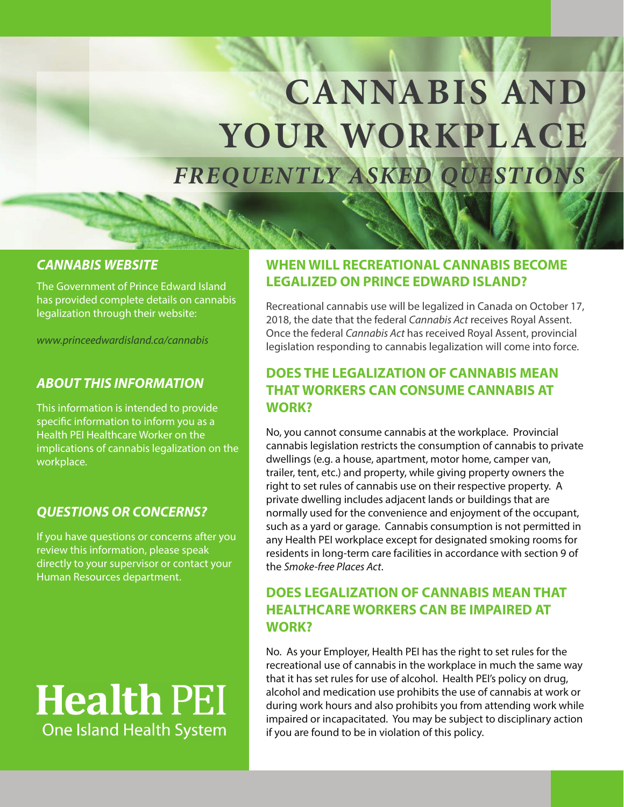# **EXTENDED OF LONG FREED FREQUENTLY QUESTIONS CANNABIS AND YOUR WORKPLACE FREQUENTLY ASKED QUESTIONS**

## **CANNABIS WEBSITE**

The Government of Prince Edward Island has provided complete details on cannabis legalization through their website:

www.princeedwardisland.ca/cannabis

#### **ABOUT THIS INFORMATION**

This information is intended to provide specific information to inform you as a Health PEI Healthcare Worker on the implications of cannabis legalization on the workplace.

### **QUESTIONS OR CONCERNS?**

If you have questions or concerns after you review this information, please speak directly to your supervisor or contact your Human Resources department.

# **Health PEI One Island Health System**

## **WHEN WILL RECREATIONAL CANNABIS BECOME LEGALIZED ON PRINCE EDWARD ISLAND?**

Recreational cannabis use will be legalized in Canada on October 17, 2018, the date that the federal Cannabis Act receives Royal Assent. Once the federal Cannabis Act has received Royal Assent, provincial legislation responding to cannabis legalization will come into force.

## **DOES THE LEGALIZATION OF CANNABIS MEAN THAT WORKERS CAN CONSUME CANNABIS AT WORK?**

No, you cannot consume cannabis at the workplace. Provincial cannabis legislation restricts the consumption of cannabis to private dwellings (e.g. a house, apartment, motor home, camper van, trailer, tent, etc.) and property, while giving property owners the right to set rules of cannabis use on their respective property. A private dwelling includes adjacent lands or buildings that are normally used for the convenience and enjoyment of the occupant, such as a yard or garage. Cannabis consumption is not permitted in any Health PEI workplace except for designated smoking rooms for residents in long-term care facilities in accordance with section 9 of the Smoke-free Places Act.

## **DOES LEGALIZATION OF CANNABIS MEAN THAT HEALTHCARE WORKERS CAN BE IMPAIRED AT WORK?**

No. As your Employer, Health PEI has the right to set rules for the recreational use of cannabis in the workplace in much the same way that it has set rules for use of alcohol. Health PEI's policy on drug, alcohol and medication use prohibits the use of cannabis at work or during work hours and also prohibits you from attending work while impaired or incapacitated. You may be subject to disciplinary action if you are found to be in violation of this policy.